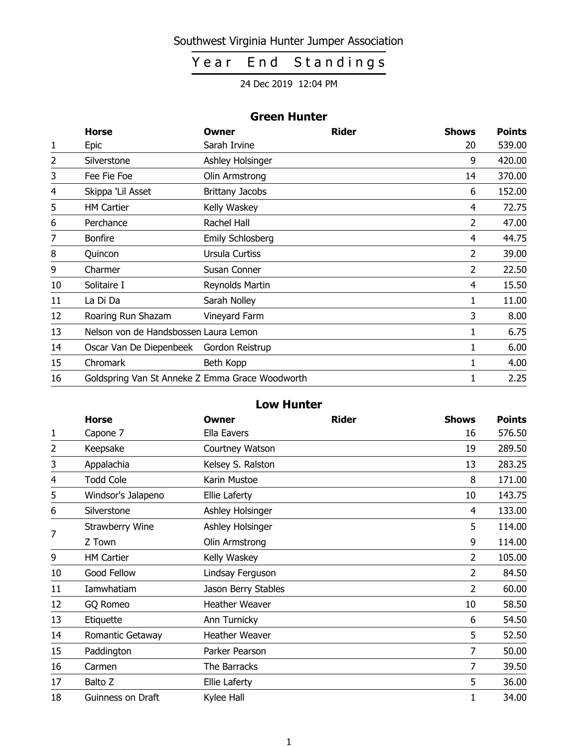## Southwest Virginia Hunter Jumper Association

## Year End Standings

#### 24 Dec 2019 12:04 PM

#### Green Hunter

|    | <b>Horse</b>                                    | Owner                   | <b>Rider</b> | <b>Shows</b>   | <b>Points</b> |
|----|-------------------------------------------------|-------------------------|--------------|----------------|---------------|
| 1  | Epic                                            | Sarah Irvine            |              | 20             | 539.00        |
| 2  | Silverstone                                     | Ashley Holsinger        |              | 9              | 420.00        |
| 3  | Fee Fie Foe                                     | Olin Armstrong          |              | 14             | 370.00        |
| 4  | Skippa 'Lil Asset                               | <b>Brittany Jacobs</b>  |              | 6              | 152.00        |
| 5  | <b>HM Cartier</b>                               | Kelly Waskey            |              | 4              | 72.75         |
| 6  | Perchance                                       | Rachel Hall             |              | $\overline{2}$ | 47.00         |
| 7  | <b>Bonfire</b>                                  | <b>Emily Schlosberg</b> |              | 4              | 44.75         |
| 8  | Quincon                                         | Ursula Curtiss          |              | $\overline{2}$ | 39.00         |
| 9  | Charmer                                         | Susan Conner            |              | $\overline{2}$ | 22.50         |
| 10 | Solitaire I                                     | Reynolds Martin         |              | 4              | 15.50         |
| 11 | La Di Da                                        | Sarah Nolley            |              | 1              | 11.00         |
| 12 | Roaring Run Shazam                              | Vineyard Farm           |              | 3              | 8.00          |
| 13 | Nelson von de Handsbossen Laura Lemon           |                         |              | 1              | 6.75          |
| 14 | Oscar Van De Diepenbeek                         | Gordon Reistrup         |              |                | 6.00          |
| 15 | Chromark                                        | Beth Kopp               |              | 1              | 4.00          |
| 16 | Goldspring Van St Anneke Z Emma Grace Woodworth |                         |              |                | 2.25          |

#### Low Hunter

|                | <b>Horse</b>           | Owner                 | <b>Rider</b> | <b>Shows</b>   | <b>Points</b> |
|----------------|------------------------|-----------------------|--------------|----------------|---------------|
| 1              | Capone 7               | Ella Eavers           |              | 16             | 576.50        |
| $\overline{2}$ | Keepsake               | Courtney Watson       |              | 19             | 289.50        |
| 3              | Appalachia             | Kelsey S. Ralston     |              | 13             | 283.25        |
| 4              | <b>Todd Cole</b>       | Karin Mustoe          |              | 8              | 171.00        |
| 5              | Windsor's Jalapeno     | Ellie Laferty         |              | 10             | 143.75        |
| 6              | Silverstone            | Ashley Holsinger      |              | 4              | 133.00        |
|                | <b>Strawberry Wine</b> | Ashley Holsinger      |              | 5              | 114.00        |
| 7              | Z Town                 | Olin Armstrong        |              | 9              | 114.00        |
| 9              | <b>HM Cartier</b>      | Kelly Waskey          |              | 2              | 105.00        |
| 10             | Good Fellow            | Lindsay Ferguson      |              | 2              | 84.50         |
| 11             | Iamwhatiam             | Jason Berry Stables   |              | 2              | 60.00         |
| 12             | GQ Romeo               | Heather Weaver        |              | 10             | 58.50         |
| 13             | Etiquette              | Ann Turnicky          |              | 6              | 54.50         |
| 14             | Romantic Getaway       | <b>Heather Weaver</b> |              | 5              | 52.50         |
| 15             | Paddington             | Parker Pearson        |              | 7              | 50.00         |
| 16             | Carmen                 | The Barracks          |              | $\overline{7}$ | 39.50         |
| 17             | Balto Z                | Ellie Laferty         |              | 5              | 36.00         |
| 18             | Guinness on Draft      | Kylee Hall            |              | 1              | 34.00         |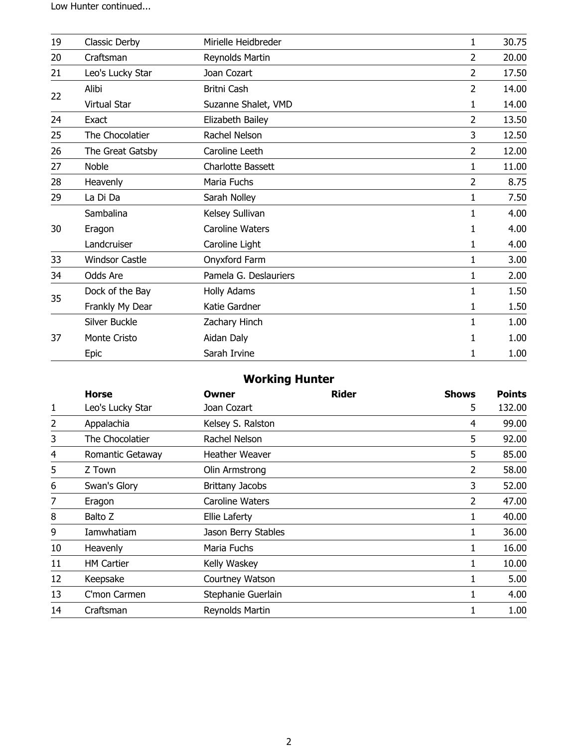Low Hunter continued...

| 19 | Classic Derby         | Mirielle Heidbreder      | 1              | 30.75 |
|----|-----------------------|--------------------------|----------------|-------|
| 20 | Craftsman             | Reynolds Martin          | 2              | 20.00 |
| 21 | Leo's Lucky Star      | Joan Cozart              | $\overline{2}$ | 17.50 |
|    | Alibi                 | Britni Cash              | $\overline{2}$ | 14.00 |
| 22 | Virtual Star          | Suzanne Shalet, VMD      | 1              | 14.00 |
| 24 | Exact                 | Elizabeth Bailey         | $\overline{2}$ | 13.50 |
| 25 | The Chocolatier       | Rachel Nelson            | 3              | 12.50 |
| 26 | The Great Gatsby      | Caroline Leeth           | $\overline{2}$ | 12.00 |
| 27 | Noble                 | <b>Charlotte Bassett</b> | 1              | 11.00 |
| 28 | Heavenly              | Maria Fuchs              | 2              | 8.75  |
| 29 | La Di Da              | Sarah Nolley             | 1              | 7.50  |
|    | Sambalina             | Kelsey Sullivan          | 1              | 4.00  |
| 30 | Eragon                | <b>Caroline Waters</b>   | 1              | 4.00  |
|    | Landcruiser           | Caroline Light           | 1              | 4.00  |
| 33 | <b>Windsor Castle</b> | Onyxford Farm            | 1              | 3.00  |
| 34 | Odds Are              | Pamela G. Deslauriers    | 1              | 2.00  |
|    | Dock of the Bay       | <b>Holly Adams</b>       | 1              | 1.50  |
| 35 | Frankly My Dear       | Katie Gardner            | 1              | 1.50  |
|    | Silver Buckle         | Zachary Hinch            | 1              | 1.00  |
| 37 | Monte Cristo          | Aidan Daly               | 1              | 1.00  |
|    | <b>Epic</b>           | Sarah Irvine             | 1              | 1.00  |

## Working Hunter

|                | <b>Horse</b>      | Owner                  | <b>Rider</b> | <b>Shows</b> | <b>Points</b> |
|----------------|-------------------|------------------------|--------------|--------------|---------------|
| 1              | Leo's Lucky Star  | Joan Cozart            |              | 5            | 132.00        |
| $\overline{2}$ | Appalachia        | Kelsey S. Ralston      |              | 4            | 99.00         |
| 3              | The Chocolatier   | Rachel Nelson          |              | 5            | 92.00         |
| 4              | Romantic Getaway  | Heather Weaver         |              | 5            | 85.00         |
| 5              | Z Town            | Olin Armstrong         |              | 2            | 58.00         |
| 6              | Swan's Glory      | <b>Brittany Jacobs</b> |              | 3            | 52.00         |
| 7              | Eragon            | Caroline Waters        |              | 2            | 47.00         |
| 8              | Balto Z           | <b>Ellie Laferty</b>   |              | 1            | 40.00         |
| 9              | Iamwhatiam        | Jason Berry Stables    |              | 1            | 36.00         |
| 10             | Heavenly          | Maria Fuchs            |              | 1            | 16.00         |
| 11             | <b>HM Cartier</b> | Kelly Waskey           |              | 1            | 10.00         |
| 12             | Keepsake          | Courtney Watson        |              |              | 5.00          |
| 13             | C'mon Carmen      | Stephanie Guerlain     |              |              | 4.00          |
| 14             | Craftsman         | Reynolds Martin        |              |              | 1.00          |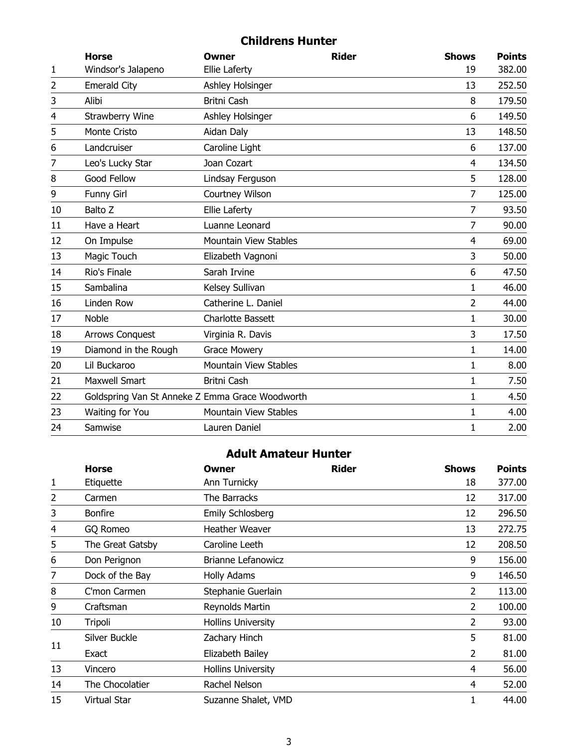### Childrens Hunter

|                | <b>Horse</b>           | Owner                                           | <b>Rider</b> | <b>Shows</b>   | <b>Points</b> |
|----------------|------------------------|-------------------------------------------------|--------------|----------------|---------------|
| 1              | Windsor's Jalapeno     | Ellie Laferty                                   |              | 19             | 382.00        |
| $\overline{2}$ | <b>Emerald City</b>    | Ashley Holsinger                                |              | 13             | 252.50        |
| 3              | Alibi                  | Britni Cash                                     |              | 8              | 179.50        |
| 4              | <b>Strawberry Wine</b> | Ashley Holsinger                                |              | 6              | 149.50        |
| 5              | Monte Cristo           | Aidan Daly                                      |              | 13             | 148.50        |
| 6              | Landcruiser            | Caroline Light                                  |              | 6              | 137.00        |
| 7              | Leo's Lucky Star       | Joan Cozart                                     |              | $\overline{4}$ | 134.50        |
| 8              | Good Fellow            | Lindsay Ferguson                                |              | 5              | 128.00        |
| 9              | Funny Girl             | Courtney Wilson                                 |              | $\overline{7}$ | 125.00        |
| 10             | Balto Z                | Ellie Laferty                                   |              | $\overline{7}$ | 93.50         |
| 11             | Have a Heart           | Luanne Leonard                                  |              | $\overline{7}$ | 90.00         |
| 12             | On Impulse             | Mountain View Stables                           |              | $\overline{4}$ | 69.00         |
| 13             | Magic Touch            | Elizabeth Vagnoni                               |              | 3              | 50.00         |
| 14             | Rio's Finale           | Sarah Irvine                                    |              | 6              | 47.50         |
| 15             | Sambalina              | Kelsey Sullivan                                 |              | $\mathbf{1}$   | 46.00         |
| 16             | Linden Row             | Catherine L. Daniel                             |              | $\overline{2}$ | 44.00         |
| 17             | <b>Noble</b>           | <b>Charlotte Bassett</b>                        |              | 1              | 30.00         |
| 18             | <b>Arrows Conquest</b> | Virginia R. Davis                               |              | 3              | 17.50         |
| 19             | Diamond in the Rough   | <b>Grace Mowery</b>                             |              | $\mathbf{1}$   | 14.00         |
| 20             | Lil Buckaroo           | Mountain View Stables                           |              | 1              | 8.00          |
| 21             | <b>Maxwell Smart</b>   | <b>Britni Cash</b>                              |              | $\mathbf{1}$   | 7.50          |
| 22             |                        | Goldspring Van St Anneke Z Emma Grace Woodworth |              | $\mathbf{1}$   | 4.50          |
| 23             | Waiting for You        | Mountain View Stables                           |              | $\mathbf{1}$   | 4.00          |
| 24             | Samwise                | Lauren Daniel                                   |              | $\mathbf{1}$   | 2.00          |

### Adult Amateur Hunter

|                | <b>Horse</b>     | <b>Owner</b>              | <b>Rider</b> | <b>Shows</b>   | <b>Points</b> |
|----------------|------------------|---------------------------|--------------|----------------|---------------|
| $\mathbf{1}$   | Etiquette        | Ann Turnicky              |              | 18             | 377.00        |
| $\overline{2}$ | Carmen           | The Barracks              |              | 12             | 317.00        |
| 3              | <b>Bonfire</b>   | <b>Emily Schlosberg</b>   |              | 12             | 296.50        |
| 4              | GQ Romeo         | Heather Weaver            |              | 13             | 272.75        |
| 5              | The Great Gatsby | Caroline Leeth            |              | 12             | 208.50        |
| 6              | Don Perignon     | <b>Brianne Lefanowicz</b> |              | 9              | 156.00        |
| $\overline{7}$ | Dock of the Bay  | Holly Adams               |              | 9              | 146.50        |
| 8              | C'mon Carmen     | Stephanie Guerlain        |              | $\overline{2}$ | 113.00        |
| 9              | Craftsman        | Reynolds Martin           |              | 2              | 100.00        |
| 10             | Tripoli          | <b>Hollins University</b> |              | 2              | 93.00         |
|                | Silver Buckle    | Zachary Hinch             |              | 5              | 81.00         |
| 11             | Exact            | Elizabeth Bailey          |              | 2              | 81.00         |
| 13             | Vincero          | <b>Hollins University</b> |              | 4              | 56.00         |
| 14             | The Chocolatier  | Rachel Nelson             |              | $\overline{4}$ | 52.00         |
| 15             | Virtual Star     | Suzanne Shalet, VMD       |              |                | 44.00         |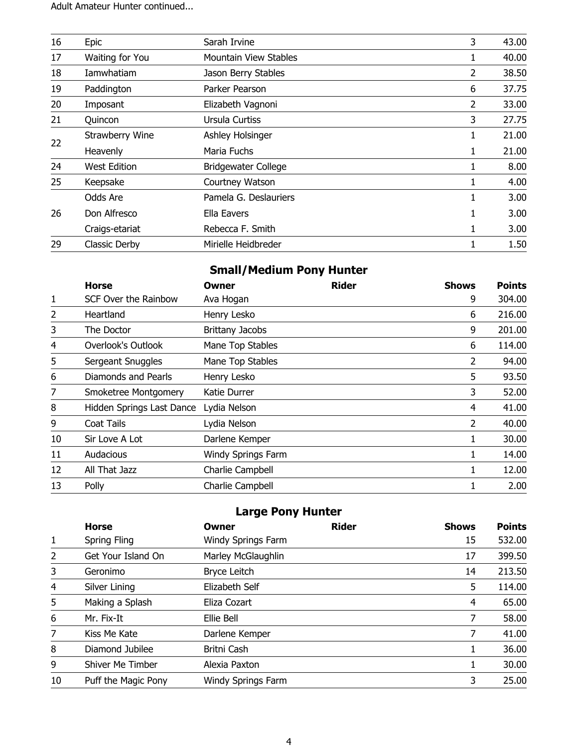Adult Amateur Hunter continued...

| 16 | Epic                | Sarah Irvine                 | 3 | 43.00 |
|----|---------------------|------------------------------|---|-------|
| 17 | Waiting for You     | <b>Mountain View Stables</b> | 1 | 40.00 |
| 18 | Iamwhatiam          | Jason Berry Stables          | 2 | 38.50 |
| 19 | Paddington          | Parker Pearson               | 6 | 37.75 |
| 20 | Imposant            | Elizabeth Vagnoni            | 2 | 33.00 |
| 21 | Quincon             | <b>Ursula Curtiss</b>        | 3 | 27.75 |
|    | Strawberry Wine     | Ashley Holsinger             |   | 21.00 |
| 22 | Heavenly            | Maria Fuchs                  | 1 | 21.00 |
| 24 | <b>West Edition</b> | <b>Bridgewater College</b>   | 1 | 8.00  |
| 25 | Keepsake            | Courtney Watson              | 1 | 4.00  |
|    | Odds Are            | Pamela G. Deslauriers        | 1 | 3.00  |
| 26 | Don Alfresco        | Ella Eavers                  | 1 | 3.00  |
|    | Craigs-etariat      | Rebecca F. Smith             | 1 | 3.00  |
| 29 | Classic Derby       | Mirielle Heidbreder          |   | 1.50  |

## Small/Medium Pony Hunter

|                | <b>Horse</b>              | Owner                     | <b>Rider</b> | <b>Shows</b> | <b>Points</b> |
|----------------|---------------------------|---------------------------|--------------|--------------|---------------|
| $\mathbf{1}$   | SCF Over the Rainbow      | Ava Hogan                 |              | 9            | 304.00        |
| $\overline{2}$ | Heartland                 | Henry Lesko               |              | 6            | 216.00        |
| 3              | The Doctor                | <b>Brittany Jacobs</b>    |              | 9            | 201.00        |
| $\overline{4}$ | Overlook's Outlook        | Mane Top Stables          |              | 6            | 114.00        |
| 5              | Sergeant Snuggles         | Mane Top Stables          |              | 2            | 94.00         |
| 6              | Diamonds and Pearls       | Henry Lesko               |              | 5            | 93.50         |
| 7              | Smoketree Montgomery      | Katie Durrer              |              | 3            | 52.00         |
| 8              | Hidden Springs Last Dance | Lydia Nelson              |              | 4            | 41.00         |
| 9              | Coat Tails                | Lydia Nelson              |              | 2            | 40.00         |
| 10             | Sir Love A Lot            | Darlene Kemper            |              | 1            | 30.00         |
| 11             | Audacious                 | <b>Windy Springs Farm</b> |              | 1            | 14.00         |
| 12             | All That Jazz             | Charlie Campbell          |              | 1            | 12.00         |
| 13             | Polly                     | Charlie Campbell          |              |              | 2.00          |

## Large Pony Hunter

|                | <b>Horse</b>            | Owner              | <b>Rider</b> | <b>Shows</b> | <b>Points</b> |
|----------------|-------------------------|--------------------|--------------|--------------|---------------|
| $\mathbf{1}$   | Spring Fling            | Windy Springs Farm |              | 15           | 532.00        |
| 2              | Get Your Island On      | Marley McGlaughlin |              | 17           | 399.50        |
| 3              | Geronimo                | Bryce Leitch       |              | 14           | 213.50        |
| $\overline{4}$ | Silver Lining           | Elizabeth Self     |              | 5            | 114.00        |
| 5              | Making a Splash         | Eliza Cozart       |              | 4            | 65.00         |
| 6              | Mr. Fix-It              | Ellie Bell         |              | 7            | 58.00         |
| $\overline{7}$ | Kiss Me Kate            | Darlene Kemper     |              | 7            | 41.00         |
| 8              | Diamond Jubilee         | Britni Cash        |              | 1            | 36.00         |
| 9              | <b>Shiver Me Timber</b> | Alexia Paxton      |              |              | 30.00         |
| 10             | Puff the Magic Pony     | Windy Springs Farm |              | 3            | 25.00         |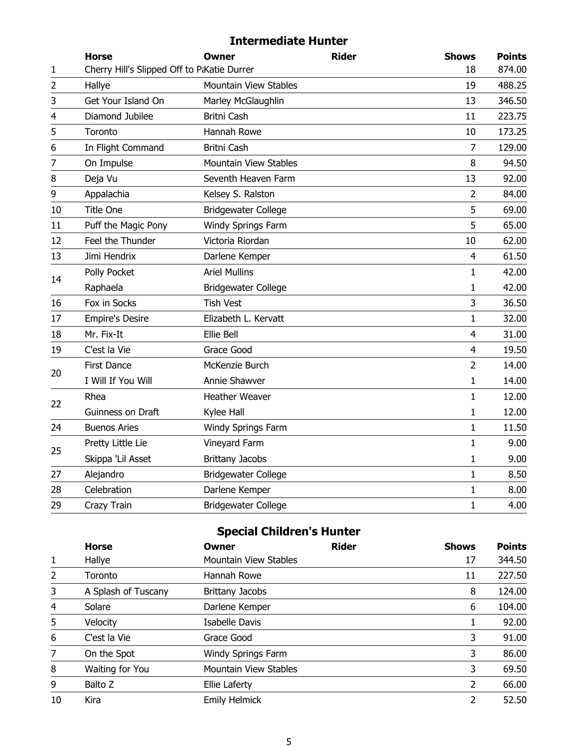### Intermediate Hunter

|    | Horse                                       | Owner                      | <b>Rider</b> | <b>Shows</b>   | <b>Points</b> |
|----|---------------------------------------------|----------------------------|--------------|----------------|---------------|
| 1  | Cherry Hill's Slipped Off to PaKatie Durrer |                            |              | 18             | 874.00        |
| 2  | Hallye                                      | Mountain View Stables      |              | 19             | 488.25        |
| 3  | Get Your Island On                          | Marley McGlaughlin         |              | 13             | 346.50        |
| 4  | Diamond Jubilee                             | <b>Britni Cash</b>         |              | 11             | 223.75        |
| 5  | Toronto                                     | Hannah Rowe                |              | 10             | 173.25        |
| 6  | In Flight Command                           | Britni Cash                |              | $\overline{7}$ | 129.00        |
| 7  | On Impulse                                  | Mountain View Stables      |              | 8              | 94.50         |
| 8  | Deja Vu                                     | Seventh Heaven Farm        |              | 13             | 92.00         |
| 9  | Appalachia                                  | Kelsey S. Ralston          |              | $\overline{2}$ | 84.00         |
| 10 | <b>Title One</b>                            | <b>Bridgewater College</b> |              | 5              | 69.00         |
| 11 | Puff the Magic Pony                         | Windy Springs Farm         |              | 5              | 65.00         |
| 12 | Feel the Thunder                            | Victoria Riordan           |              | 10             | 62.00         |
| 13 | Jimi Hendrix                                | Darlene Kemper             |              | $\overline{4}$ | 61.50         |
|    | Polly Pocket                                | <b>Ariel Mullins</b>       |              | $\mathbf{1}$   | 42.00         |
| 14 | Raphaela                                    | <b>Bridgewater College</b> |              | 1              | 42.00         |
| 16 | Fox in Socks                                | <b>Tish Vest</b>           |              | 3              | 36.50         |
| 17 | <b>Empire's Desire</b>                      | Elizabeth L. Kervatt       |              | 1              | 32.00         |
| 18 | Mr. Fix-It                                  | Ellie Bell                 |              | 4              | 31.00         |
| 19 | C'est la Vie                                | Grace Good                 |              | $\overline{4}$ | 19.50         |
|    | <b>First Dance</b>                          | McKenzie Burch             |              | $\overline{2}$ | 14.00         |
| 20 | I Will If You Will                          | Annie Shawver              |              | 1              | 14.00         |
|    | Rhea                                        | <b>Heather Weaver</b>      |              | $\mathbf{1}$   | 12.00         |
| 22 | Guinness on Draft                           | Kylee Hall                 |              | 1              | 12.00         |
| 24 | <b>Buenos Aries</b>                         | Windy Springs Farm         |              | 1              | 11.50         |
|    | Pretty Little Lie                           | Vineyard Farm              |              | 1              | 9.00          |
| 25 | Skippa 'Lil Asset                           | <b>Brittany Jacobs</b>     |              | 1              | 9.00          |
| 27 | Alejandro                                   | <b>Bridgewater College</b> |              | $\mathbf{1}$   | 8.50          |
| 28 | Celebration                                 | Darlene Kemper             |              | 1              | 8.00          |
| 29 | Crazy Train                                 | <b>Bridgewater College</b> |              | 1              | 4.00          |

## Special Children's Hunter

|                | <b>Horse</b>        | Owner                        | <b>Rider</b> | <b>Shows</b> | <b>Points</b> |
|----------------|---------------------|------------------------------|--------------|--------------|---------------|
| 1              | Hallye              | Mountain View Stables        |              | 17           | 344.50        |
| $\overline{2}$ | Toronto             | Hannah Rowe                  |              | 11           | 227.50        |
| 3              | A Splash of Tuscany | <b>Brittany Jacobs</b>       |              | 8            | 124.00        |
| 4              | Solare              | Darlene Kemper               |              | 6            | 104.00        |
| 5              | <b>Velocity</b>     | Isabelle Davis               |              |              | 92.00         |
| 6              | C'est la Vie        | Grace Good                   |              | 3            | 91.00         |
| 7              | On the Spot         | Windy Springs Farm           |              | 3            | 86.00         |
| 8              | Waiting for You     | <b>Mountain View Stables</b> |              | 3            | 69.50         |
| 9              | Balto Z             | Ellie Laferty                |              | 2            | 66.00         |
| 10             | Kira                | <b>Emily Helmick</b>         |              | 2            | 52.50         |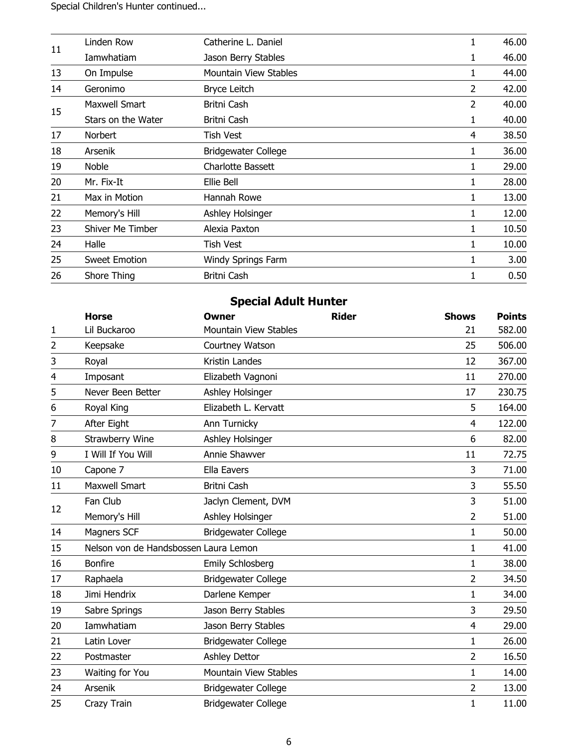Special Children's Hunter continued...

|    | Linden Row           | Catherine L. Daniel        | 1 | 46.00 |
|----|----------------------|----------------------------|---|-------|
| 11 | Iamwhatiam           | Jason Berry Stables        | 1 | 46.00 |
|    |                      |                            |   |       |
| 13 | On Impulse           | Mountain View Stables      | 1 | 44.00 |
| 14 | Geronimo             | <b>Bryce Leitch</b>        | 2 | 42.00 |
|    | Maxwell Smart        | Britni Cash                | 2 | 40.00 |
| 15 | Stars on the Water   | Britni Cash                | 1 | 40.00 |
| 17 | Norbert              | <b>Tish Vest</b>           | 4 | 38.50 |
| 18 | Arsenik              | <b>Bridgewater College</b> | 1 | 36.00 |
| 19 | <b>Noble</b>         | <b>Charlotte Bassett</b>   | 1 | 29.00 |
| 20 | Mr. Fix-It           | Ellie Bell                 | 1 | 28.00 |
| 21 | Max in Motion        | Hannah Rowe                | 1 | 13.00 |
| 22 | Memory's Hill        | Ashley Holsinger           | 1 | 12.00 |
| 23 | Shiver Me Timber     | Alexia Paxton              | 1 | 10.50 |
| 24 | Halle                | <b>Tish Vest</b>           | 1 | 10.00 |
| 25 | <b>Sweet Emotion</b> | Windy Springs Farm         | 1 | 3.00  |
| 26 | Shore Thing          | Britni Cash                |   | 0.50  |

## Special Adult Hunter

|                | <b>Horse</b>                          | <b>Owner</b>               | <b>Rider</b> | <b>Shows</b>   | <b>Points</b> |
|----------------|---------------------------------------|----------------------------|--------------|----------------|---------------|
| 1              | Lil Buckaroo                          | Mountain View Stables      |              | 21             | 582.00        |
| $\overline{2}$ | Keepsake                              | Courtney Watson            |              | 25             | 506.00        |
| 3              | Royal                                 | Kristin Landes             |              | 12             | 367.00        |
| 4              | Imposant                              | Elizabeth Vagnoni          |              | 11             | 270.00        |
| 5              | Never Been Better                     | Ashley Holsinger           |              | 17             | 230.75        |
| 6              | Royal King                            | Elizabeth L. Kervatt       |              | 5              | 164.00        |
| 7              | After Eight                           | Ann Turnicky               |              | $\overline{4}$ | 122.00        |
| 8              | Strawberry Wine                       | Ashley Holsinger           |              | 6              | 82.00         |
| 9              | I Will If You Will                    | Annie Shawver              |              | 11             | 72.75         |
| 10             | Capone 7                              | Ella Eavers                |              | 3              | 71.00         |
| 11             | <b>Maxwell Smart</b>                  | <b>Britni Cash</b>         |              | 3              | 55.50         |
|                | Fan Club                              | Jaclyn Clement, DVM        |              | 3              | 51.00         |
| 12             | Memory's Hill                         | Ashley Holsinger           |              | 2              | 51.00         |
| 14             | Magners SCF                           | <b>Bridgewater College</b> |              | 1              | 50.00         |
| 15             | Nelson von de Handsbossen Laura Lemon |                            |              | 1              | 41.00         |
| 16             | <b>Bonfire</b>                        | Emily Schlosberg           |              | 1              | 38.00         |
| 17             | Raphaela                              | <b>Bridgewater College</b> |              | $\overline{2}$ | 34.50         |
| 18             | Jimi Hendrix                          | Darlene Kemper             |              | 1              | 34.00         |
| 19             | Sabre Springs                         | Jason Berry Stables        |              | 3              | 29.50         |
| 20             | Iamwhatiam                            | Jason Berry Stables        |              | 4              | 29.00         |
| 21             | Latin Lover                           | <b>Bridgewater College</b> |              | $\mathbf{1}$   | 26.00         |
| 22             | Postmaster                            | <b>Ashley Dettor</b>       |              | $\overline{2}$ | 16.50         |
| 23             | Waiting for You                       | Mountain View Stables      |              | 1              | 14.00         |
| 24             | Arsenik                               | <b>Bridgewater College</b> |              | $\overline{2}$ | 13.00         |
| 25             | Crazy Train                           | <b>Bridgewater College</b> |              | 1              | 11.00         |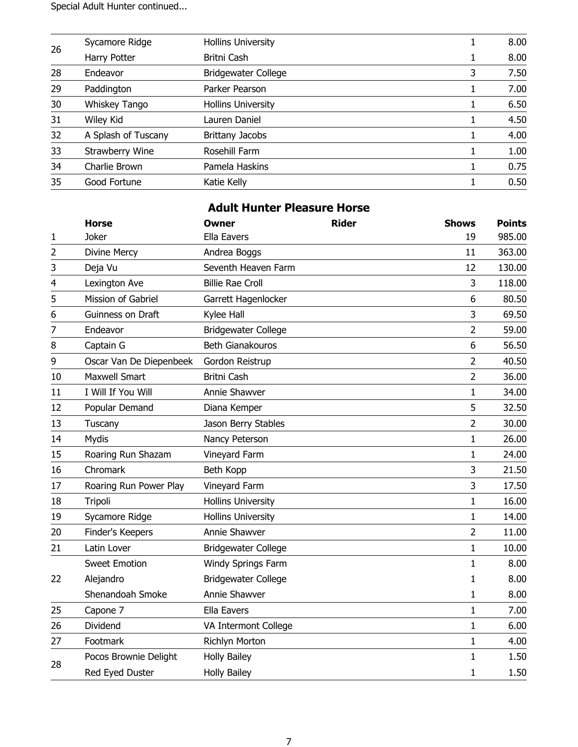Special Adult Hunter continued...

|    | Sycamore Ridge      | <b>Hollins University</b>  |   | 8.00 |
|----|---------------------|----------------------------|---|------|
| 26 | Harry Potter        | Britni Cash                |   | 8.00 |
| 28 | Endeavor            | <b>Bridgewater College</b> | 3 | 7.50 |
| 29 | Paddington          | Parker Pearson             |   | 7.00 |
| 30 | Whiskey Tango       | <b>Hollins University</b>  |   | 6.50 |
| 31 | Wiley Kid           | Lauren Daniel              |   | 4.50 |
| 32 | A Splash of Tuscany | <b>Brittany Jacobs</b>     |   | 4.00 |
| 33 | Strawberry Wine     | Rosehill Farm              |   | 1.00 |
| 34 | Charlie Brown       | Pamela Haskins             |   | 0.75 |
| 35 | Good Fortune        | Katie Kelly                |   | 0.50 |

### Adult Hunter Pleasure Horse

|    | <b>Horse</b>            | <b>Owner</b>               | <b>Rider</b> | <b>Shows</b>   | <b>Points</b> |
|----|-------------------------|----------------------------|--------------|----------------|---------------|
| 1  | Joker                   | Ella Eavers                |              | 19             | 985.00        |
| 2  | Divine Mercy            | Andrea Boggs               |              | 11             | 363.00        |
| 3  | Deja Vu                 | Seventh Heaven Farm        |              | 12             | 130.00        |
| 4  | Lexington Ave           | <b>Billie Rae Croll</b>    |              | 3              | 118.00        |
| 5  | Mission of Gabriel      | Garrett Hagenlocker        |              | 6              | 80.50         |
| 6  | Guinness on Draft       | Kylee Hall                 |              | 3              | 69.50         |
| 7  | Endeavor                | <b>Bridgewater College</b> |              | 2              | 59.00         |
| 8  | Captain G               | <b>Beth Gianakouros</b>    |              | 6              | 56.50         |
| 9  | Oscar Van De Diepenbeek | Gordon Reistrup            |              | $\overline{2}$ | 40.50         |
| 10 | <b>Maxwell Smart</b>    | <b>Britni Cash</b>         |              | $\overline{2}$ | 36.00         |
| 11 | I Will If You Will      | Annie Shawver              |              | $\mathbf{1}$   | 34.00         |
| 12 | Popular Demand          | Diana Kemper               |              | 5              | 32.50         |
| 13 | Tuscany                 | Jason Berry Stables        |              | 2              | 30.00         |
| 14 | Mydis                   | Nancy Peterson             |              | $\mathbf{1}$   | 26.00         |
| 15 | Roaring Run Shazam      | Vineyard Farm              |              | $\mathbf{1}$   | 24.00         |
| 16 | Chromark                | Beth Kopp                  |              | 3              | 21.50         |
| 17 | Roaring Run Power Play  | Vineyard Farm              |              | 3              | 17.50         |
| 18 | Tripoli                 | <b>Hollins University</b>  |              | $\mathbf 1$    | 16.00         |
| 19 | Sycamore Ridge          | <b>Hollins University</b>  |              | $\mathbf{1}$   | 14.00         |
| 20 | Finder's Keepers        | Annie Shawver              |              | 2              | 11.00         |
| 21 | Latin Lover             | <b>Bridgewater College</b> |              | $\mathbf{1}$   | 10.00         |
|    | <b>Sweet Emotion</b>    | Windy Springs Farm         |              | 1              | 8.00          |
| 22 | Alejandro               | <b>Bridgewater College</b> |              | 1              | 8.00          |
|    | Shenandoah Smoke        | Annie Shawver              |              | 1              | 8.00          |
| 25 | Capone 7                | Ella Eavers                |              | $\mathbf{1}$   | 7.00          |
| 26 | Dividend                | VA Intermont College       |              | $\mathbf{1}$   | 6.00          |
| 27 | Footmark                | Richlyn Morton             |              | $\mathbf{1}$   | 4.00          |
|    | Pocos Brownie Delight   | <b>Holly Bailey</b>        |              | 1              | 1.50          |
| 28 | Red Eyed Duster         | <b>Holly Bailey</b>        |              | 1              | 1.50          |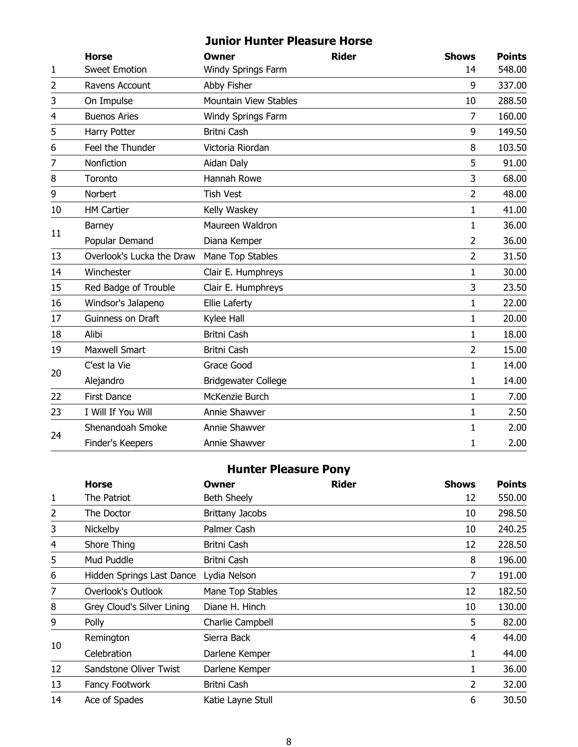### Junior Hunter Pleasure Horse

|                | <b>Horse</b>              | Owner                        | <b>Rider</b> | <b>Shows</b>   | <b>Points</b> |
|----------------|---------------------------|------------------------------|--------------|----------------|---------------|
| 1              | <b>Sweet Emotion</b>      | Windy Springs Farm           |              | 14             | 548.00        |
| $\overline{2}$ | Ravens Account            | Abby Fisher                  |              | 9              | 337.00        |
| 3              | On Impulse                | <b>Mountain View Stables</b> |              | 10             | 288.50        |
| 4              | <b>Buenos Aries</b>       | Windy Springs Farm           |              | $\overline{7}$ | 160.00        |
| 5              | Harry Potter              | Britni Cash                  |              | 9              | 149.50        |
| 6              | Feel the Thunder          | Victoria Riordan             |              | 8              | 103.50        |
| 7              | Nonfiction                | Aidan Daly                   |              | 5              | 91.00         |
| 8              | Toronto                   | Hannah Rowe                  |              | 3              | 68.00         |
| 9              | Norbert                   | <b>Tish Vest</b>             |              | $\overline{2}$ | 48.00         |
| 10             | <b>HM Cartier</b>         | Kelly Waskey                 |              | $\mathbf{1}$   | 41.00         |
|                | Barney                    | Maureen Waldron              |              | 1              | 36.00         |
| 11             | Popular Demand            | Diana Kemper                 |              | 2              | 36.00         |
| 13             | Overlook's Lucka the Draw | Mane Top Stables             |              | $\overline{2}$ | 31.50         |
| 14             | Winchester                | Clair E. Humphreys           |              | 1              | 30.00         |
| 15             | Red Badge of Trouble      | Clair E. Humphreys           |              | 3              | 23.50         |
| 16             | Windsor's Jalapeno        | <b>Ellie Laferty</b>         |              | $\mathbf{1}$   | 22.00         |
| 17             | Guinness on Draft         | Kylee Hall                   |              | $\mathbf{1}$   | 20.00         |
| 18             | Alibi                     | Britni Cash                  |              | 1              | 18.00         |
| 19             | <b>Maxwell Smart</b>      | <b>Britni Cash</b>           |              | $\overline{2}$ | 15.00         |
|                | C'est la Vie              | Grace Good                   |              | 1              | 14.00         |
| 20             | Alejandro                 | <b>Bridgewater College</b>   |              | 1              | 14.00         |
| 22             | <b>First Dance</b>        | McKenzie Burch               |              | 1              | 7.00          |
| 23             | I Will If You Will        | Annie Shawver                |              | 1              | 2.50          |
|                | Shenandoah Smoke          | Annie Shawver                |              | 1              | 2.00          |
| 24             | Finder's Keepers          | Annie Shawver                |              | 1              | 2.00          |

## Hunter Pleasure Pony

|                | Horse                      | Owner                  | <b>Rider</b> | <b>Shows</b>   | <b>Points</b> |
|----------------|----------------------------|------------------------|--------------|----------------|---------------|
| 1              | The Patriot                | <b>Beth Sheely</b>     |              | 12             | 550.00        |
| $\overline{2}$ | The Doctor                 | <b>Brittany Jacobs</b> |              | 10             | 298.50        |
| 3              | Nickelby                   | Palmer Cash            |              | 10             | 240.25        |
| 4              | Shore Thing                | Britni Cash            |              | 12             | 228.50        |
| 5              | Mud Puddle                 | Britni Cash            |              | 8              | 196.00        |
| 6              | Hidden Springs Last Dance  | Lydia Nelson           |              | 7              | 191.00        |
| 7              | Overlook's Outlook         | Mane Top Stables       |              | 12             | 182.50        |
| 8              | Grey Cloud's Silver Lining | Diane H. Hinch         |              | 10             | 130.00        |
| 9              | Polly                      | Charlie Campbell       |              | 5              | 82.00         |
|                | Remington                  | Sierra Back            |              | 4              | 44.00         |
| 10             | Celebration                | Darlene Kemper         |              | 1              | 44.00         |
| 12             | Sandstone Oliver Twist     | Darlene Kemper         |              | 1              | 36.00         |
| 13             | Fancy Footwork             | Britni Cash            |              | $\overline{2}$ | 32.00         |
| 14             | Ace of Spades              | Katie Layne Stull      |              | 6              | 30.50         |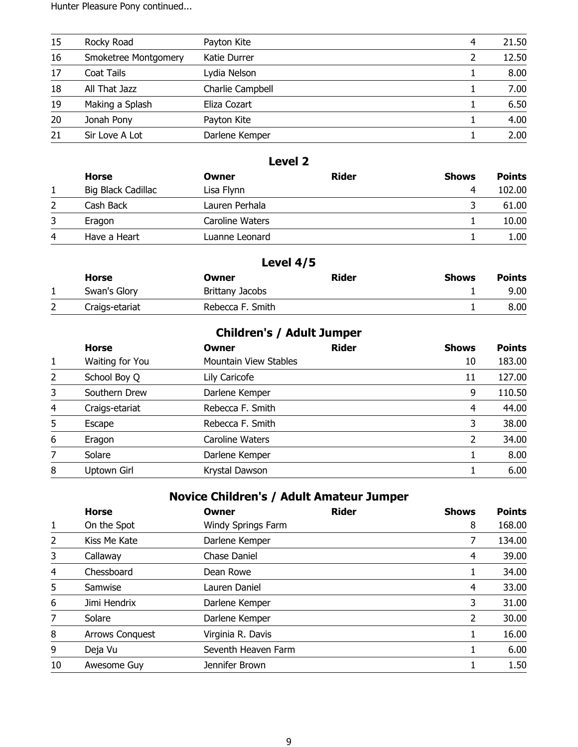Hunter Pleasure Pony continued...

| 15 | Rocky Road           | Payton Kite      | 4 | 21.50 |
|----|----------------------|------------------|---|-------|
| 16 | Smoketree Montgomery | Katie Durrer     | 2 | 12.50 |
| 17 | Coat Tails           | Lydia Nelson     |   | 8.00  |
| 18 | All That Jazz        | Charlie Campbell |   | 7.00  |
| 19 | Making a Splash      | Eliza Cozart     |   | 6.50  |
| 20 | Jonah Pony           | Payton Kite      |   | 4.00  |
| 21 | Sir Love A Lot       | Darlene Kemper   |   | 2.00  |

#### Level 2

|   | Horse              | Owner           | Rider | <b>Shows</b> | <b>Points</b> |
|---|--------------------|-----------------|-------|--------------|---------------|
|   | Big Black Cadillac | Lisa Flynn      |       | 4            | 102.00        |
|   | Cash Back          | Lauren Perhala  |       |              | 61.00         |
| 3 | Eragon             | Caroline Waters |       |              | 10.00         |
| 4 | Have a Heart       | Luanne Leonard  |       |              | 1.00          |

## Level 4/5

|   | Horse          | Owner            | <b>Rider</b> | <b>Shows</b> | <b>Points</b> |
|---|----------------|------------------|--------------|--------------|---------------|
|   | Swan's Glory   | Brittany Jacobs  |              |              | 9.00          |
| 2 | Craigs-etariat | Rebecca F. Smith |              |              | 8.00          |

## Children's / Adult Jumper

|                | <b>Horse</b>    | Owner                 | <b>Rider</b> | <b>Shows</b> | <b>Points</b> |
|----------------|-----------------|-----------------------|--------------|--------------|---------------|
| 1              | Waiting for You | Mountain View Stables |              | 10           | 183.00        |
| 2              | School Boy Q    | Lily Caricofe         |              | 11           | 127.00        |
| 3              | Southern Drew   | Darlene Kemper        |              | 9            | 110.50        |
| $\overline{4}$ | Craigs-etariat  | Rebecca F. Smith      |              | 4            | 44.00         |
| 5              | Escape          | Rebecca F. Smith      |              | 3            | 38.00         |
| 6              | Eragon          | Caroline Waters       |              | 2            | 34.00         |
| 7              | Solare          | Darlene Kemper        |              |              | 8.00          |
| 8              | Uptown Girl     | Krystal Dawson        |              |              | 6.00          |

### Novice Children's / Adult Amateur Jumper

|                | <b>Horse</b>           | Owner               | <b>Rider</b> | <b>Shows</b> | <b>Points</b> |
|----------------|------------------------|---------------------|--------------|--------------|---------------|
| $\mathbf{1}$   | On the Spot            | Windy Springs Farm  |              | 8            | 168.00        |
| $\overline{2}$ | Kiss Me Kate           | Darlene Kemper      |              | 7            | 134.00        |
| 3              | Callaway               | <b>Chase Daniel</b> |              | 4            | 39.00         |
| $\overline{4}$ | Chessboard             | Dean Rowe           |              |              | 34.00         |
| 5              | Samwise                | Lauren Daniel       |              | 4            | 33.00         |
| 6              | Jimi Hendrix           | Darlene Kemper      |              | 3            | 31.00         |
| 7              | Solare                 | Darlene Kemper      |              | 2            | 30.00         |
| 8              | <b>Arrows Conquest</b> | Virginia R. Davis   |              |              | 16.00         |
| 9              | Deja Vu                | Seventh Heaven Farm |              |              | 6.00          |
| 10             | Awesome Guy            | Jennifer Brown      |              |              | 1.50          |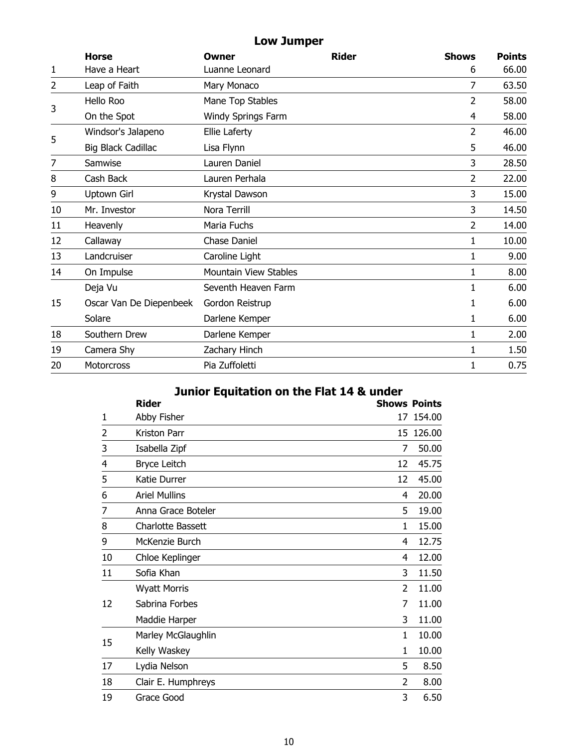### Low Jumper

|    | <b>Horse</b>              | Owner                 | <b>Rider</b> | <b>Shows</b>   | <b>Points</b> |
|----|---------------------------|-----------------------|--------------|----------------|---------------|
| 1  | Have a Heart              | Luanne Leonard        |              | 6              | 66.00         |
| 2  | Leap of Faith             | Mary Monaco           |              | 7              | 63.50         |
| 3  | Hello Roo                 | Mane Top Stables      |              | 2              | 58.00         |
|    | On the Spot               | Windy Springs Farm    |              | 4              | 58.00         |
| 5  | Windsor's Jalapeno        | Ellie Laferty         |              | $\overline{2}$ | 46.00         |
|    | <b>Big Black Cadillac</b> | Lisa Flynn            |              | 5              | 46.00         |
| 7  | Samwise                   | Lauren Daniel         |              | 3              | 28.50         |
| 8  | Cash Back                 | Lauren Perhala        |              | $\overline{2}$ | 22.00         |
| 9  | Uptown Girl               | Krystal Dawson        |              | 3              | 15.00         |
| 10 | Mr. Investor              | Nora Terrill          |              | 3              | 14.50         |
| 11 | Heavenly                  | Maria Fuchs           |              | $\overline{2}$ | 14.00         |
| 12 | Callaway                  | <b>Chase Daniel</b>   |              | 1              | 10.00         |
| 13 | Landcruiser               | Caroline Light        |              | 1              | 9.00          |
| 14 | On Impulse                | Mountain View Stables |              | 1              | 8.00          |
|    | Deja Vu                   | Seventh Heaven Farm   |              | 1              | 6.00          |
| 15 | Oscar Van De Diepenbeek   | Gordon Reistrup       |              | 1              | 6.00          |
|    | Solare                    | Darlene Kemper        |              | 1              | 6.00          |
| 18 | Southern Drew             | Darlene Kemper        |              | 1              | 2.00          |
| 19 | Camera Shy                | Zachary Hinch         |              | 1              | 1.50          |
| 20 | Motorcross                | Pia Zuffoletti        |              | 1              | 0.75          |

## Junior Equitation on the Flat 14 & under

|    | <b>Rider</b>         | <b>Shows Points</b> |        |
|----|----------------------|---------------------|--------|
| 1  | Abby Fisher          | 17                  | 154.00 |
| 2  | Kriston Parr         | 15                  | 126.00 |
| 3  | Isabella Zipf        | 7                   | 50.00  |
| 4  | <b>Bryce Leitch</b>  | 12                  | 45.75  |
| 5  | Katie Durrer         | 12                  | 45.00  |
| 6  | <b>Ariel Mullins</b> | 4                   | 20.00  |
| 7  | Anna Grace Boteler   | 5                   | 19.00  |
| 8  | Charlotte Bassett    | 1                   | 15.00  |
| 9  | McKenzie Burch       | 4                   | 12.75  |
| 10 | Chloe Keplinger      | 4                   | 12.00  |
| 11 | Sofia Khan           | 3                   | 11.50  |
|    | <b>Wyatt Morris</b>  | $\overline{2}$      | 11.00  |
| 12 | Sabrina Forbes       | 7                   | 11.00  |
|    | Maddie Harper        | 3                   | 11.00  |
|    | Marley McGlaughlin   | 1                   | 10.00  |
| 15 | Kelly Waskey         | 1                   | 10.00  |
| 17 | Lydia Nelson         | 5                   | 8.50   |
| 18 | Clair E. Humphreys   | 2                   | 8.00   |
| 19 | Grace Good           | 3                   | 6.50   |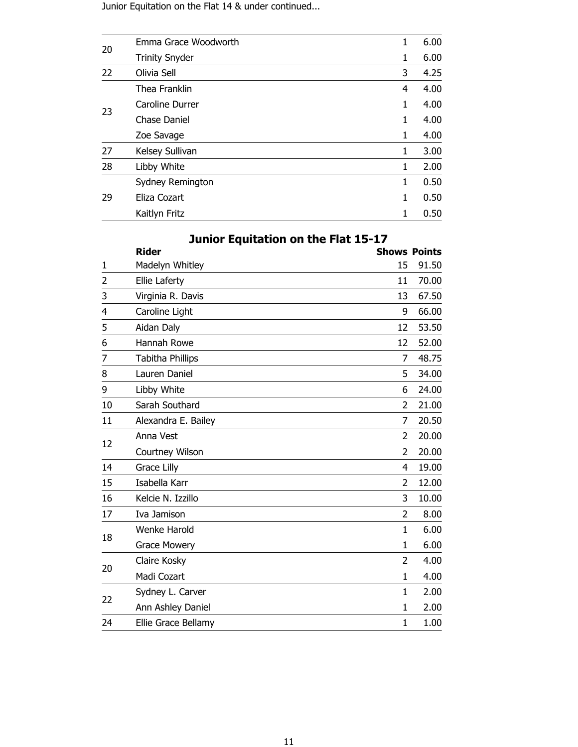Junior Equitation on the Flat 14 & under continued...

| 20 | Emma Grace Woodworth  | 1 | 6.00 |
|----|-----------------------|---|------|
|    | <b>Trinity Snyder</b> | 1 | 6.00 |
| 22 | Olivia Sell           | 3 | 4.25 |
|    | Thea Franklin         | 4 | 4.00 |
|    | Caroline Durrer       | 1 | 4.00 |
| 23 | Chase Daniel          | 1 | 4.00 |
|    | Zoe Savage            | 1 | 4.00 |
| 27 | Kelsey Sullivan       | 1 | 3.00 |
| 28 | Libby White           | 1 | 2.00 |
| 29 | Sydney Remington      | 1 | 0.50 |
|    | Eliza Cozart          | 1 | 0.50 |
|    | Kaitlyn Fritz         | 1 | 0.50 |
|    |                       |   |      |

|                | anor Equitation on the riat 15 |                |                     |
|----------------|--------------------------------|----------------|---------------------|
|                | <b>Rider</b>                   |                | <b>Shows Points</b> |
| 1              | Madelyn Whitley                | 15             | 91.50               |
| 2              | <b>Ellie Laferty</b>           | 11             | 70.00               |
| 3              | Virginia R. Davis              | 13             | 67.50               |
| 4              | Caroline Light                 | 9              | 66.00               |
| 5              | Aidan Daly                     | 12             | 53.50               |
| 6              | Hannah Rowe                    | 12             | 52.00               |
| $\overline{7}$ | <b>Tabitha Phillips</b>        | $\overline{7}$ | 48.75               |
| 8              | Lauren Daniel                  | 5              | 34.00               |
| 9              | Libby White                    | 6              | 24.00               |
| 10             | Sarah Southard                 | $\overline{2}$ | 21.00               |
| 11             | Alexandra E. Bailey            | 7              | 20.50               |
| 12             | Anna Vest                      | 2              | 20.00               |
|                | Courtney Wilson                | $\overline{2}$ | 20.00               |
| 14             | <b>Grace Lilly</b>             | 4              | 19.00               |
| 15             | Isabella Karr                  | $\overline{2}$ | 12.00               |
| 16             | Kelcie N. Izzillo              | 3              | 10.00               |
| 17             | Iva Jamison                    | 2              | 8.00                |
|                | Wenke Harold                   | $\mathbf{1}$   | 6.00                |
| 18             | <b>Grace Mowery</b>            | $\mathbf{1}$   | 6.00                |
| 20             | Claire Kosky                   | $\overline{2}$ | 4.00                |
|                | Madi Cozart                    | $\mathbf{1}$   | 4.00                |
| 22             | Sydney L. Carver               | $\mathbf{1}$   | 2.00                |
|                | Ann Ashley Daniel              | 1              | 2.00                |
| 24             | Ellie Grace Bellamy            | $\mathbf{1}$   | 1.00                |

# Junior Equitation on the Flat 15-17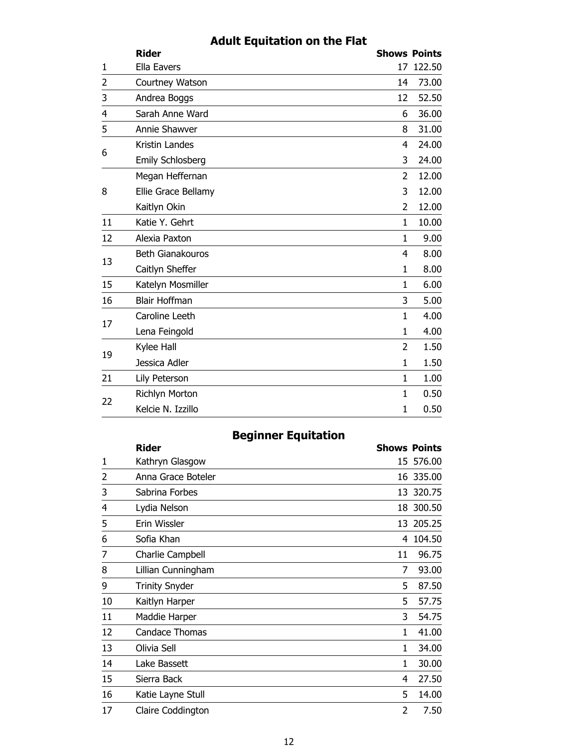## Adult Equitation on the Flat

| Ella Eavers<br>17 122.50<br>1<br>$\overline{2}$<br>Courtney Watson<br>14<br>3<br>12<br>Andrea Boggs<br>4<br>Sarah Anne Ward<br>6<br>5<br>Annie Shawver<br>8<br>Kristin Landes<br>4<br>6<br><b>Emily Schlosberg</b><br>3<br>$\overline{2}$<br>Megan Heffernan<br>3<br>8<br>Ellie Grace Bellamy<br>Kaitlyn Okin<br>2<br>11<br>Katie Y. Gehrt<br>1<br>12<br>Alexia Paxton<br>1<br><b>Beth Gianakouros</b><br>4<br>13<br>Caitlyn Sheffer<br>1<br>15<br>Katelyn Mosmiller<br>1<br><b>Blair Hoffman</b><br>3<br>16<br>Caroline Leeth<br>$\mathbf{1}$<br>17<br>Lena Feingold<br>1<br>Kylee Hall<br>2<br>19<br>Jessica Adler<br>1<br>21<br>Lily Peterson<br>1<br>$\mathbf{1}$<br>Richlyn Morton<br>22<br>Kelcie N. Izzillo<br>$\mathbf{1}$ |  | <b>Rider</b> | <b>Shows Points</b> |       |
|------------------------------------------------------------------------------------------------------------------------------------------------------------------------------------------------------------------------------------------------------------------------------------------------------------------------------------------------------------------------------------------------------------------------------------------------------------------------------------------------------------------------------------------------------------------------------------------------------------------------------------------------------------------------------------------------------------------------------------|--|--------------|---------------------|-------|
|                                                                                                                                                                                                                                                                                                                                                                                                                                                                                                                                                                                                                                                                                                                                    |  |              |                     |       |
|                                                                                                                                                                                                                                                                                                                                                                                                                                                                                                                                                                                                                                                                                                                                    |  |              |                     | 73.00 |
|                                                                                                                                                                                                                                                                                                                                                                                                                                                                                                                                                                                                                                                                                                                                    |  |              |                     | 52.50 |
|                                                                                                                                                                                                                                                                                                                                                                                                                                                                                                                                                                                                                                                                                                                                    |  |              |                     | 36.00 |
|                                                                                                                                                                                                                                                                                                                                                                                                                                                                                                                                                                                                                                                                                                                                    |  |              |                     | 31.00 |
|                                                                                                                                                                                                                                                                                                                                                                                                                                                                                                                                                                                                                                                                                                                                    |  |              |                     | 24.00 |
|                                                                                                                                                                                                                                                                                                                                                                                                                                                                                                                                                                                                                                                                                                                                    |  |              |                     | 24.00 |
|                                                                                                                                                                                                                                                                                                                                                                                                                                                                                                                                                                                                                                                                                                                                    |  |              |                     | 12.00 |
|                                                                                                                                                                                                                                                                                                                                                                                                                                                                                                                                                                                                                                                                                                                                    |  |              |                     | 12.00 |
|                                                                                                                                                                                                                                                                                                                                                                                                                                                                                                                                                                                                                                                                                                                                    |  |              |                     | 12.00 |
|                                                                                                                                                                                                                                                                                                                                                                                                                                                                                                                                                                                                                                                                                                                                    |  |              |                     | 10.00 |
|                                                                                                                                                                                                                                                                                                                                                                                                                                                                                                                                                                                                                                                                                                                                    |  |              |                     | 9.00  |
|                                                                                                                                                                                                                                                                                                                                                                                                                                                                                                                                                                                                                                                                                                                                    |  |              |                     | 8.00  |
|                                                                                                                                                                                                                                                                                                                                                                                                                                                                                                                                                                                                                                                                                                                                    |  |              |                     | 8.00  |
|                                                                                                                                                                                                                                                                                                                                                                                                                                                                                                                                                                                                                                                                                                                                    |  |              |                     | 6.00  |
|                                                                                                                                                                                                                                                                                                                                                                                                                                                                                                                                                                                                                                                                                                                                    |  |              |                     | 5.00  |
|                                                                                                                                                                                                                                                                                                                                                                                                                                                                                                                                                                                                                                                                                                                                    |  |              |                     | 4.00  |
|                                                                                                                                                                                                                                                                                                                                                                                                                                                                                                                                                                                                                                                                                                                                    |  |              |                     | 4.00  |
|                                                                                                                                                                                                                                                                                                                                                                                                                                                                                                                                                                                                                                                                                                                                    |  |              |                     | 1.50  |
|                                                                                                                                                                                                                                                                                                                                                                                                                                                                                                                                                                                                                                                                                                                                    |  |              |                     | 1.50  |
|                                                                                                                                                                                                                                                                                                                                                                                                                                                                                                                                                                                                                                                                                                                                    |  |              |                     | 1.00  |
|                                                                                                                                                                                                                                                                                                                                                                                                                                                                                                                                                                                                                                                                                                                                    |  |              |                     | 0.50  |
|                                                                                                                                                                                                                                                                                                                                                                                                                                                                                                                                                                                                                                                                                                                                    |  |              |                     | 0.50  |

## Beginner Equitation

|    | <b>Rider</b>          | <b>Shows Points</b> |           |
|----|-----------------------|---------------------|-----------|
| 1  | Kathryn Glasgow       |                     | 15 576.00 |
| 2  | Anna Grace Boteler    |                     | 16 335.00 |
| 3  | Sabrina Forbes        |                     | 13 320.75 |
| 4  | Lydia Nelson          |                     | 18 300.50 |
| 5  | Erin Wissler          |                     | 13 205.25 |
| 6  | Sofia Khan            | 4                   | 104.50    |
| 7  | Charlie Campbell      | 11                  | 96.75     |
| 8  | Lillian Cunningham    | 7                   | 93.00     |
| 9  | <b>Trinity Snyder</b> | 5                   | 87.50     |
| 10 | Kaitlyn Harper        | 5                   | 57.75     |
| 11 | Maddie Harper         | 3                   | 54.75     |
| 12 | Candace Thomas        | 1                   | 41.00     |
| 13 | Olivia Sell           | 1                   | 34.00     |
| 14 | Lake Bassett          | 1                   | 30.00     |
| 15 | Sierra Back           | 4                   | 27.50     |
| 16 | Katie Layne Stull     | 5                   | 14.00     |
| 17 | Claire Coddington     | $\overline{2}$      | 7.50      |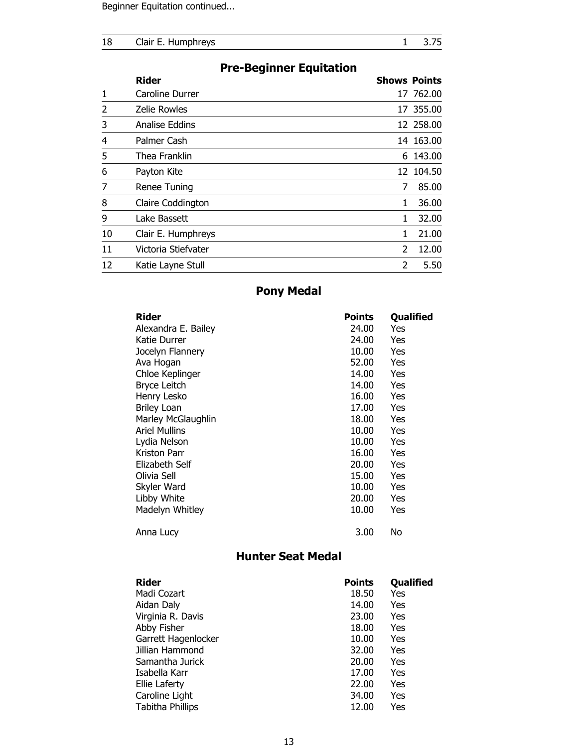Beginner Equitation continued...

| 18 | Clair E. Humphreys |  | $1 \quad 3.75$ |
|----|--------------------|--|----------------|
|----|--------------------|--|----------------|

### Rider Shows Points 1 Caroline Durrer 17 762.00 2 Zelie Rowles 2 2012 17 355.00 3 Analise Eddins 12 258.00 4 Palmer Cash 14 163.00 5 Thea Franklin 6 143.00 6 Payton Kite 12 104.50 7 Renee Tuning 2008 12:00 12:00 12:00 12:00 12:00 12:00 12:00 12:00 12:00 12:00 12:00 12:00 12:00 12:00 12:00 12:00 12:00 12:00 12:00 12:00 12:00 12:00 12:00 12:00 12:00 12:00 12:00 12:00 12:00 12:00 12:00 12:00 12:00 12:0 8 Claire Coddington 1 36.00 9 Lake Bassett 1 32.00 10 Clair E. Humphreys 1 21.00 11 Victoria Stiefvater 2 12.00 12 Katie Layne Stull 2 5.50

#### Pre-Beginner Equitation

#### Pony Medal

| Rider                | <b>Points</b> | Qualified |
|----------------------|---------------|-----------|
| Alexandra E. Bailey  | 24.00         | Yes       |
| Katie Durrer         | 24.00         | Yes       |
| Jocelyn Flannery     | 10.00         | Yes       |
| Ava Hogan            | 52.00         | Yes       |
| Chloe Keplinger      | 14.00         | Yes       |
| Bryce Leitch         | 14.00         | Yes       |
| Henry Lesko          | 16.00         | Yes       |
| <b>Briley Loan</b>   | 17.00         | Yes       |
| Marley McGlaughlin   | 18.00         | Yes       |
| <b>Ariel Mullins</b> | 10.00         | Yes       |
| Lydia Nelson         | 10.00         | Yes       |
| Kriston Parr         | 16.00         | Yes       |
| Elizabeth Self       | 20.00         | Yes       |
| Olivia Sell          | 15.00         | Yes       |
| Skyler Ward          | 10.00         | Yes       |
| Libby White          | 20.00         | Yes       |
| Madelyn Whitley      | 10.00         | Yes       |
| Anna Lucy            | 3.00          | No        |

#### Hunter Seat Medal

| Rider                   | <b>Points</b> | Qualified |
|-------------------------|---------------|-----------|
| Madi Cozart             | 18.50         | Yes       |
| Aidan Daly              | 14.00         | Yes       |
| Virginia R. Davis       | 23.00         | Yes       |
| Abby Fisher             | 18.00         | Yes       |
| Garrett Hagenlocker     | 10.00         | Yes       |
| Jillian Hammond         | 32.00         | Yes       |
| Samantha Jurick         | 20.00         | Yes       |
| Isabella Karr           | 17.00         | Yes       |
| <b>Ellie Laferty</b>    | 22.00         | Yes       |
| Caroline Light          | 34.00         | Yes       |
| <b>Tabitha Phillips</b> | 12.00         | Yes       |